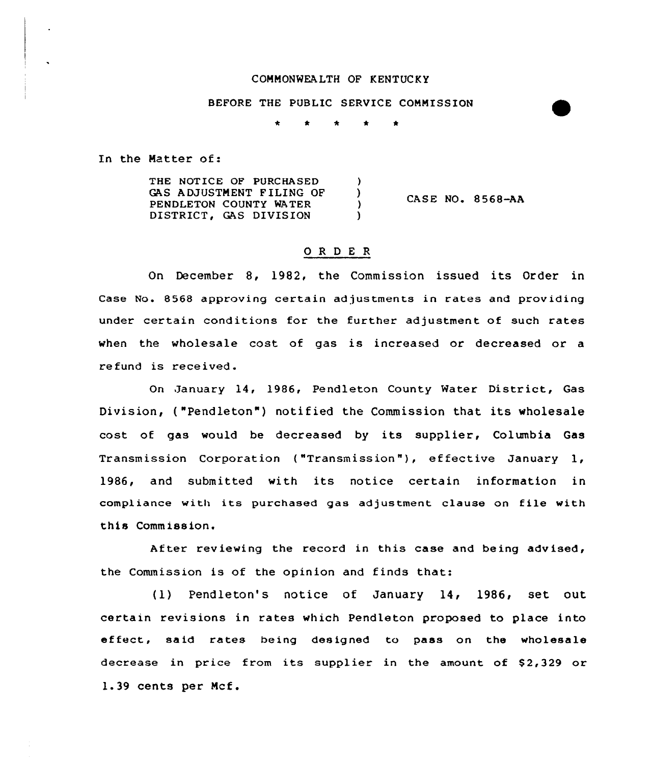## COHHONWEALTH OF KENTUCKY

BEFORE THE PUBLIC SERVICE COHMISSION

 $\star$ 

In the Hatter of:

THE NOTICE OF PURCHASED  $\lambda$ GAS ADJUSTMENT FILING OF (3)<br>PENDLETON COUNTY WATER (3) PENDLETON COUNTY WATER  $\overrightarrow{D}$ DISTRICT, GAS DIVISION

CASE NO. 8568-AA

# 0 R <sup>D</sup> <sup>E</sup> <sup>R</sup>

On December 8, 1982, the Commission issued its Order in Case No. 8568 approving certain ad justments in rates and prov iding under certain conditions for the further adjustment of such rates when the wholesale cost of gas is increased or decreased or <sup>a</sup> refund is received.

On January 14, 1986, Pendleton County Water District, Gas Division, ("Pendleton") notified the Commission that its wholesale cost of gas would be decreased by its supplier, Columbia Gas Transmission Corporation ("Transmission"), effective January 1, 1986, and submitted with its notice certain information in compliance with its purchased gas adjustment clause on file with this Commission.

After reviewing the record in this case and being advised, the Commission is of the opinion and finds that:

(1) Pendleton's notice of January 14, 1986, set out certain revisions in rates which Pendleton proposed to place into effect, said rates being designed to pass on the wholesale decrease in price from its supplier in the amount of  $$2,329$  or 1.39 cents per Mcf.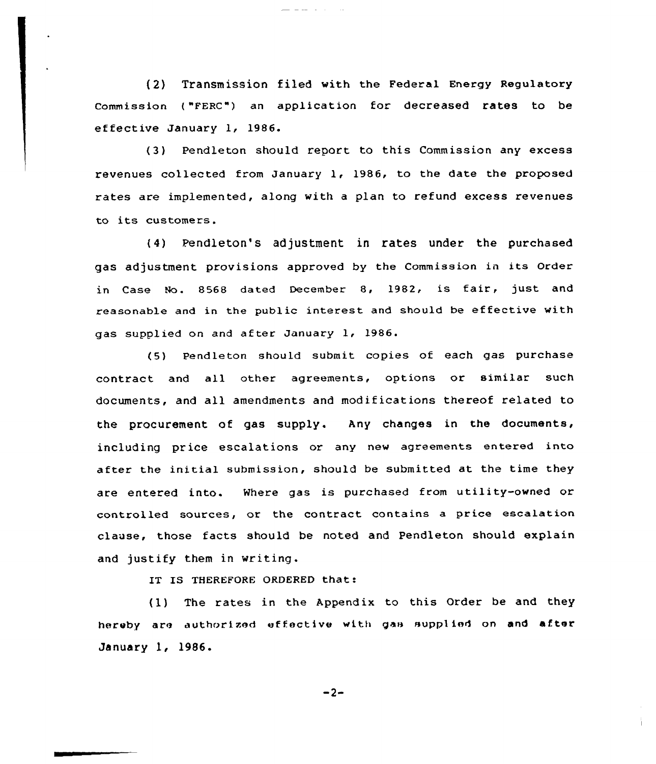(2) Transmission filed with the Federal Energy Regulatory commission ( "FERc"} an application for decreased rates to be ef fective January 1, 1986.

المناصب المسامين

(3) Pendleton should report to this Commission any excess revenues collected from January 1, 1986, to the date the proposed rates are implemented, along with a plan to refund excess revenues to its customers.

(4) Pendleton's adjustment in rates under the purchased gas adjustment provisions approved by the Commission in its order in Case No. 8568 dated December 8, 1982, is fair, just and reasonable and in the public interest and should be effective with gas supplied on and af ter January l, 1986.

(5) Pendleton should submit copies of each gas purchase contract and all other agreements, options or similar such documents, and all amendments and modif ications thereof related to the procurement of gas supply. Any changes in the documents, including price escalations or any new agreements entered into after the initial submission, should be submitted at the time they are entered into. Where gas is purchased from utility-owned or controlled sources, or the contract contains a price escalation clause, those facts should be noted and Pendleton should explain and justify them in writing.

IT IS THEREFORE ORDERED that:

(1) The rates in the Appendix to this Order be and they hereby are authorized effective with gas supplied on and after January 1, 1986.

 $-2-$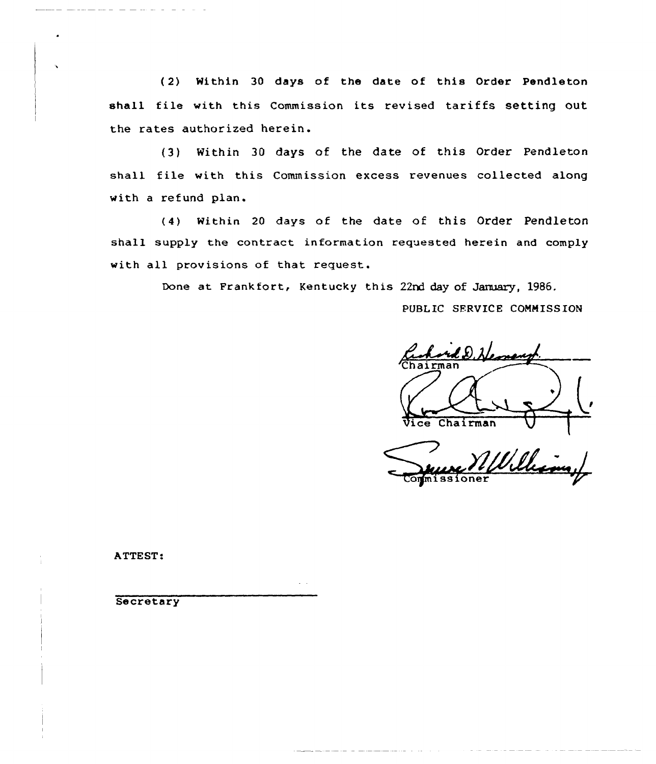(2) Within 30 days of the date of this Order Pendleton shall file with this Commission its revised tariffs setting out the rates authorized herein.

(3) Within 30 days of the date of this Order Pendleton shall file with this Commission excess revenues collected along with a refund plan.

(4) within <sup>20</sup> days of the date of this Order Pendleton shall supply the contract information requested herein and comply with all provisions of that request.

Done at Frankfort, Kentucky this 22rd day of January, 1986.

PUBLIC SERVICE COMMISSION

Chairman Vice Chairman

Eornissione

ATTEST:

**Secretary**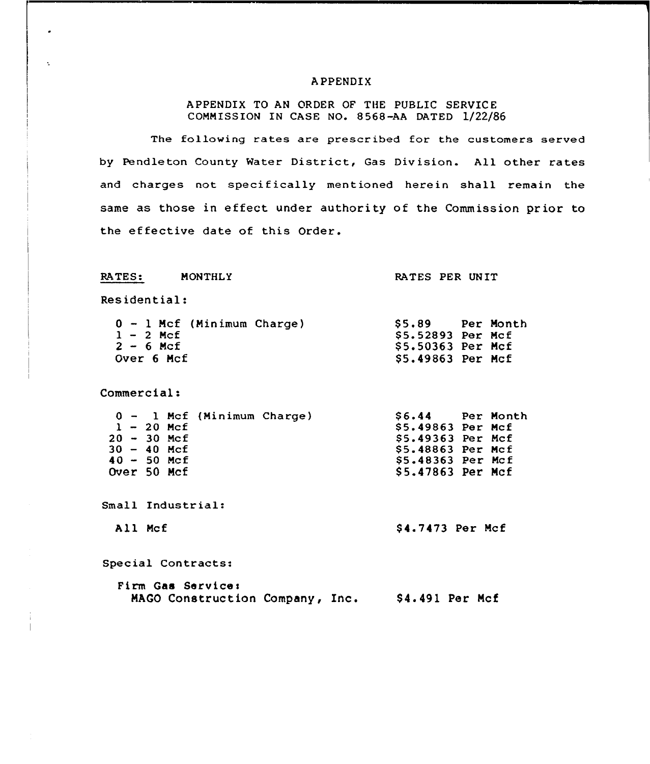### APPENDIX

# APPENDIX TO AN ORDER OF THE PUBLIC SERVICE COMMISSION IN CASE NO. 8568-AA DATED 1/22/86

The following rates are prescribed for the customers served by Pendleton County Water District, Gas Division. All other rates and charges not specifically mentioned herein shall remain the same as those in effect under authority of the Commission prior to the effective date of this Order.

#### RATES: MONTHLy

#### RATES PER UNIT

Residential:

×

 $\Lambda$ 

| $0 - 1$ Mcf (Minimum Charge) | SS.89              | Per Month |
|------------------------------|--------------------|-----------|
| $1 - 2$ Mcf                  | \$5.52893 Per Mcf  |           |
| $2 - 6$ Mcf                  | \$5.50363 Per Mcf  |           |
| Over 6 Mcf                   | $$5.49863$ Per Mcf |           |

Commercial:

|  |               | 0 - 1 Mcf (Minimum Charge) | \$6.44 Per Month   |  |
|--|---------------|----------------------------|--------------------|--|
|  | $1 - 20$ Mcf  |                            | \$5.49863 Per Mcf  |  |
|  | $20 - 30$ Mcf |                            | \$5.49363 Per Mcf  |  |
|  | $30 - 40$ Mcf |                            | $$5.48863$ Per Mcf |  |
|  | $40 - 50$ Mcf |                            | \$5.48363 Per Mcf  |  |
|  | Over 50 Mcf   |                            | \$5.47863 Per Mcf  |  |

Small Industrial:

All Mcf  $\begin{array}{cc} 84.7473 & Per Mcf \end{array}$ 

Special Contracts:

|  | Firm Gas Service:               |  |                 |  |
|--|---------------------------------|--|-----------------|--|
|  | MAGO Construction Company, Inc. |  | \$4.491 Per Mcf |  |